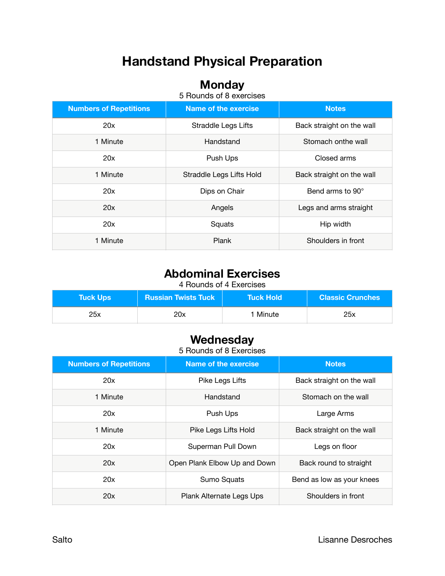# **Handstand Physical Preparation**

#### **Monday**

5 Rounds of 8 exercises

| <b>Numbers of Repetitions</b> | Name of the exercise                                    | <b>Notes</b>              |
|-------------------------------|---------------------------------------------------------|---------------------------|
| 20x                           | <b>Straddle Legs Lifts</b><br>Back straight on the wall |                           |
| 1 Minute                      | Handstand<br>Stomach onthe wall                         |                           |
| 20x                           | Push Ups                                                | Closed arms               |
| 1 Minute                      | Straddle Legs Lifts Hold                                | Back straight on the wall |
| 20x                           | Dips on Chair                                           | Bend arms to 90°          |
| 20x                           | Angels                                                  | Legs and arms straight    |
| 20x                           | Hip width<br>Squats                                     |                           |
| 1 Minute                      | Plank                                                   | Shoulders in front        |

### **Abdominal Exercises**

4 Rounds of 4 Exercises

| ∣Tuck Ups <sup>∖</sup> | <b>Russian Twists Tuck</b> | ⊾Tuck Hold \ | <b>Classic Crunches</b> |
|------------------------|----------------------------|--------------|-------------------------|
| 25x                    | 20x                        | 1 Minute     | 25x                     |

## **Wednesday**

5 Rounds of 8 Exercises

| <b>Numbers of Repetitions</b> | <b>Name of the exercise</b>  | <b>Notes</b>              |
|-------------------------------|------------------------------|---------------------------|
| 20x                           | Pike Legs Lifts              | Back straight on the wall |
| 1 Minute                      | Handstand                    | Stomach on the wall       |
| 20x                           | Push Ups                     | Large Arms                |
| 1 Minute                      | Pike Legs Lifts Hold         | Back straight on the wall |
| 20x                           | Superman Pull Down           | Legs on floor             |
| 20x                           | Open Plank Elbow Up and Down | Back round to straight    |
| 20x                           | Sumo Squats                  | Bend as low as your knees |
| 20x                           | Plank Alternate Legs Ups     | Shoulders in front        |